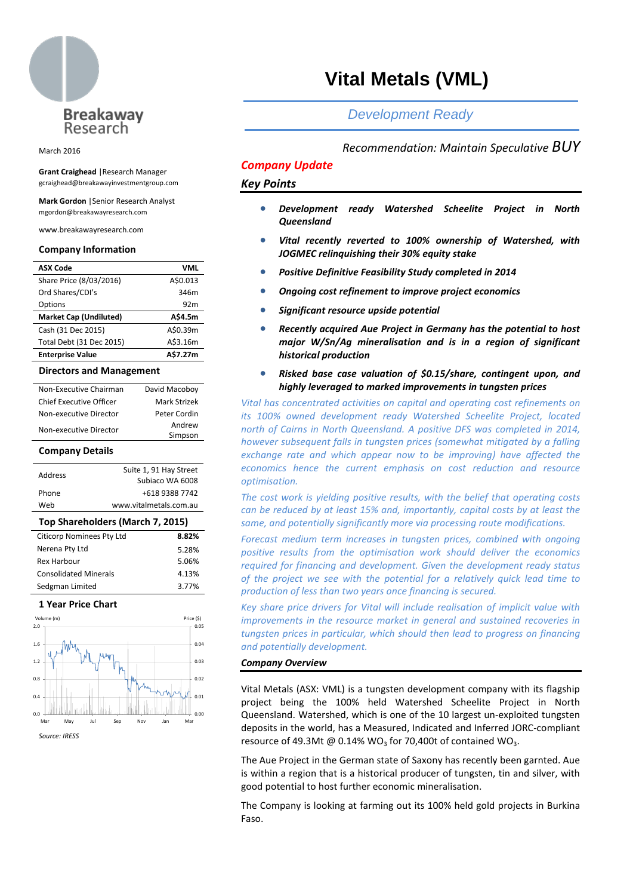

#### March 2016

**Grant Craighead** |Research Manager gcraighead@breakawayinvestmentgroup.com

**Mark Gordon** |Senior Research Analyst mgordon@breakawayresearch.com

www.breakawayresearch.com

#### **Company Information**

| <b>ASX Code</b>               | VML             |
|-------------------------------|-----------------|
| Share Price (8/03/2016)       | A\$0.013        |
| Ord Shares/CDI's              | 346m            |
| Options                       | 92 <sub>m</sub> |
| <b>Market Cap (Undiluted)</b> | A\$4.5m         |
| Cash (31 Dec 2015)            | A\$0.39m        |
| Total Debt (31 Dec 2015)      | A\$3.16m        |
| <b>Enterprise Value</b>       | A\$7.27m        |

#### **Directors and Management**

| Non-Executive Chairman         | David Macoboy |
|--------------------------------|---------------|
| <b>Chief Executive Officer</b> | Mark Strizek  |
| Non-executive Director         | Peter Cordin  |
| Non-executive Director         | Andrew        |
|                                | Simpson       |

## **Company Details**

| Address | Suite 1, 91 Hay Street<br>Subjaco WA 6008 |
|---------|-------------------------------------------|
| Phone   | +618 9388 7742                            |
| Web     | www.vitalmetals.com.au                    |
|         |                                           |

| Top Shareholders (March 7, 2015) |       |  |  |
|----------------------------------|-------|--|--|
| <b>Citicorp Nominees Pty Ltd</b> | 8.82% |  |  |
| Nerena Pty Ltd                   | 5.28% |  |  |
| Rex Harbour                      | 5.06% |  |  |
| <b>Consolidated Minerals</b>     | 4.13% |  |  |
| Sedgman Limited                  | 3.77% |  |  |

#### **1 Year Price Chart**



*Source: IRESS*

# **Vital Metals (VML)**

# *Development Ready*

## *Recommendation: Maintain Speculative BUY*

## *Company Update*

## *Key Points*

- *Development ready Watershed Scheelite Project in North Queensland*
- *Vital recently reverted to 100% ownership of Watershed, with JOGMEC relinquishing their 30% equity stake*
- *Positive Definitive Feasibility Study completed in 2014*
- *Ongoing cost refinement to improve project economics*
- *Significant resource upside potential*
- *Recently acquired Aue Project in Germany has the potential to host major W/Sn/Ag mineralisation and is in a region of significant historical production*
- *Risked base case valuation of \$0.15/share, contingent upon, and highly leveraged to marked improvements in tungsten prices*

*Vital has concentrated activities on capital and operating cost refinements on its 100% owned development ready Watershed Scheelite Project, located north of Cairns in North Queensland. A positive DFS was completed in 2014, however subsequent falls in tungsten prices (somewhat mitigated by a falling exchange rate and which appear now to be improving) have affected the economics hence the current emphasis on cost reduction and resource optimisation.*

*The cost work is yielding positive results, with the belief that operating costs can be reduced by at least 15% and, importantly, capital costs by at least the same, and potentially significantly more via processing route modifications.* 

Forecast medium term increases in tungsten prices, combined with ongoing *positive results from the optimisation work should deliver the economics required for financing and development. Given the development ready status of the project we see with the potential for a relatively quick lead time to production of less than two years once financing is secured.*

*Key share price drivers for Vital will include realisation of implicit value with improvements in the resource market in general and sustained recoveries in tungsten prices in particular, which should then lead to progress on financing and potentially development.*

## *Company Overview*

Vital Metals (ASX: VML) is a tungsten development company with its flagship project being the 100% held Watershed Scheelite Project in North Queensland. Watershed, which is one of the 10 largest un-exploited tungsten deposits in the world, has a Measured, Indicated and Inferred JORC-compliant resource of 49.3Mt @  $0.14\%$  WO<sub>3</sub> for 70,400t of contained WO<sub>3</sub>.

The Aue Project in the German state of Saxony has recently been garnted. Aue is within a region that is a historical producer of tungsten, tin and silver, with good potential to host further economic mineralisation.

The Company is looking at farming out its 100% held gold projects in Burkina Faso.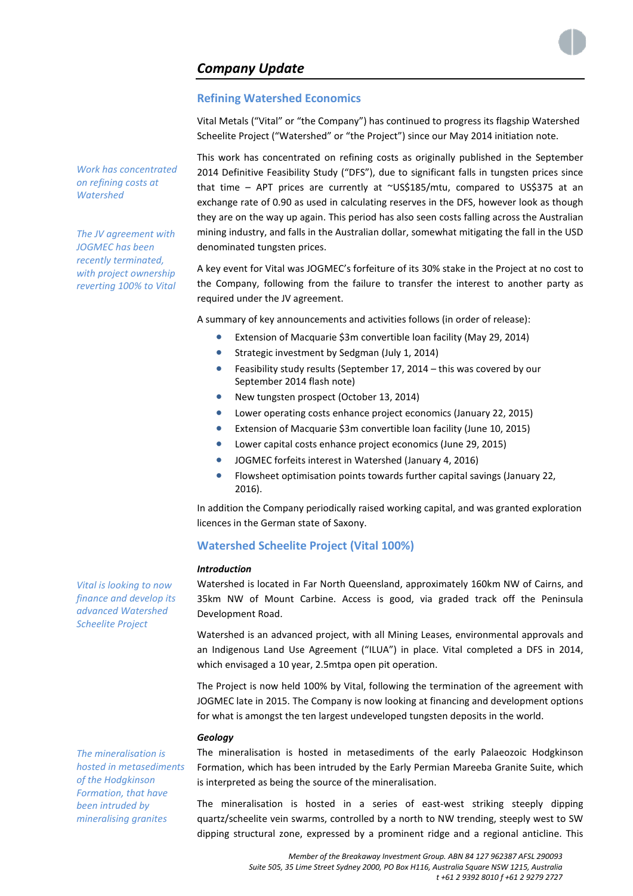## **Refining Watershed Economics**

Vital Metals ("Vital" or "the Company") has continued to progress its flagship Watershed Scheelite Project ("Watershed" or "the Project") since our May 2014 initiation note.

This work has concentrated on refining costs as originally published in the September 2014 Definitive Feasibility Study ("DFS"), due to significant falls in tungsten prices since that time - APT prices are currently at ~US\$185/mtu, compared to US\$375 at an exchange rate of 0.90 as used in calculating reserves in the DFS, however look as though they are on the way up again. This period has also seen costs falling across the Australian mining industry, and falls in the Australian dollar, somewhat mitigating the fall in the USD denominated tungsten prices.

A key event for Vital was JOGMEC's forfeiture of its 30% stake in the Project at no cost to the Company, following from the failure to transfer the interest to another party as required under the JV agreement.

A summary of key announcements and activities follows (in order of release):

- Extension of Macquarie \$3m convertible loan facility (May 29, 2014)
- Strategic investment by Sedgman (July 1, 2014)
- Feasibility study results (September 17, 2014 this was covered by our September 2014 flash note)
- New tungsten prospect (October 13, 2014)
- Lower operating costs enhance project economics (January 22, 2015)
- Extension of Macquarie \$3m convertible loan facility (June 10, 2015)
- Lower capital costs enhance project economics (June 29, 2015)
- JOGMEC forfeits interest in Watershed (January 4, 2016)
- Flowsheet optimisation points towards further capital savings (January 22, 2016).

In addition the Company periodically raised working capital, and was granted exploration licences in the German state of Saxony.

## **Watershed Scheelite Project (Vital 100%)**

#### *Introduction*

Watershed is located in Far North Queensland, approximately 160km NW of Cairns, and 35km NW of Mount Carbine. Access is good, via graded track off the Peninsula Development Road.

Watershed is an advanced project, with all Mining Leases, environmental approvals and an Indigenous Land Use Agreement ("ILUA") in place. Vital completed a DFS in 2014, which envisaged a 10 year, 2.5mtpa open pit operation.

The Project is now held 100% by Vital, following the termination of the agreement with JOGMEC late in 2015. The Company is now looking at financing and development options for what is amongst the ten largest undeveloped tungsten deposits in the world.

## *Geology*

The mineralisation is hosted in metasediments of the early Palaeozoic Hodgkinson Formation, which has been intruded by the Early Permian Mareeba Granite Suite, which is interpreted as being the source of the mineralisation.

The mineralisation is hosted in a series of east-west striking steeply dipping quartz/scheelite vein swarms, controlled by a north to NW trending, steeply west to SW dipping structural zone, expressed by a prominent ridge and a regional anticline. This

*Vital is looking to now finance and develop its advanced Watershed Scheelite Project*

*The mineralisation is hosted in metasediments of the Hodgkinson Formation, that have been intruded by mineralising granites*

*Work has concentrated on refining costs at* 

*The JV agreement with JOGMEC has been recently terminated, with project ownership reverting 100% to Vital*

*Watershed*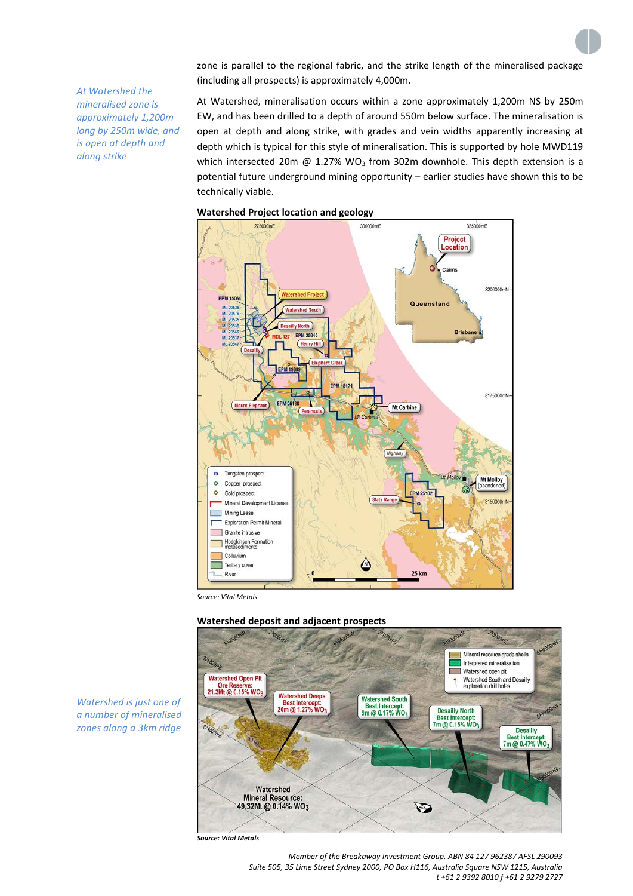zone is parallel to the regional fabric, and the strike length of the mineralised package (including all prospects) is approximately 4,000m.

*At Watershed the mineralised zone is approximately 1,200m long by 250m wide, and is open at depth and along strike*

At Watershed, mineralisation occurs within a zone approximately 1,200m NS by 250m EW, and has been drilled to a depth of around 550m below surface. The mineralisation is open at depth and along strike, with grades and vein widths apparently increasing at depth which is typical for this style of mineralisation. This is supported by hole MWD119 which intersected 20m @ 1.27% WO<sub>3</sub> from 302m downhole. This depth extension is a potential future underground mining opportunity – earlier studies have shown this to be technically viable.





*Source: Vital Metals*





*Watershed is just one of a number of mineralised zones along a 3km ridge*

> *Member of the Breakaway Investment Group. ABN 84 127 962387 AFSL 290093 Suite 505, 35 Lime Street Sydney 2000, PO Box H116, Australia Square NSW 1215, Australia t +61 2 9392 8010 f +61 2 9279 2727*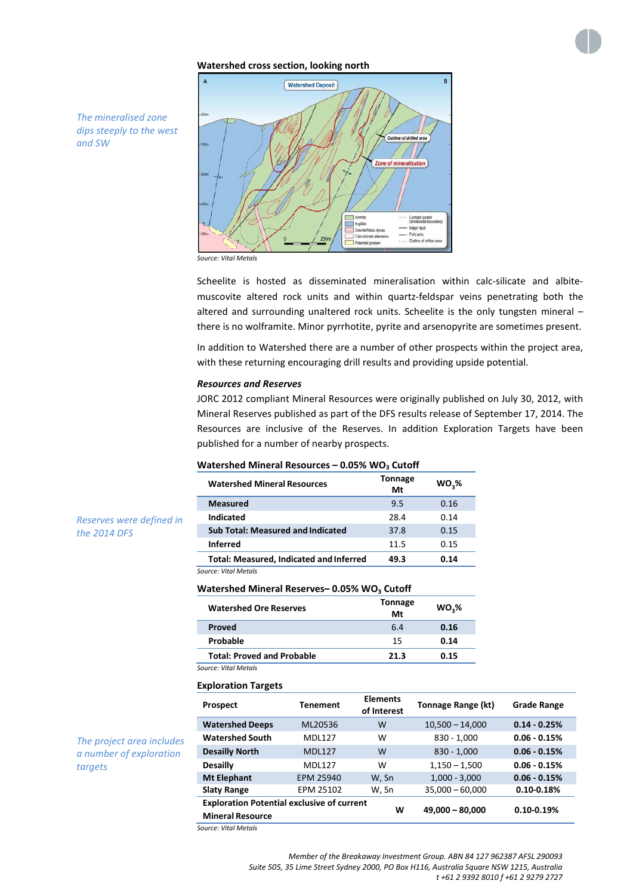## **Watershed cross section, looking north**

R **Watershed Deposit** Zone of mineralisation fajor fault Fold axis Outline of driller

*The mineralised zone dips steeply to the west and SW*

*Reserves were defined in* 

*The project area includes a number of exploration* 

*targets*

*the 2014 DFS*



Scheelite is hosted as disseminated mineralisation within calc-silicate and albitemuscovite altered rock units and within quartz-feldspar veins penetrating both the altered and surrounding unaltered rock units. Scheelite is the only tungsten mineral – there is no wolframite. Minor pyrrhotite, pyrite and arsenopyrite are sometimes present.

In addition to Watershed there are a number of other prospects within the project area, with these returning encouraging drill results and providing upside potential.

## *Resources and Reserves*

JORC 2012 compliant Mineral Resources were originally published on July 30, 2012, with Mineral Reserves published as part of the DFS results release of September 17, 2014. The Resources are inclusive of the Reserves. In addition Exploration Targets have been published for a number of nearby prospects.

#### **Watershed Mineral Resources - 0.05% WO<sub>3</sub> Cutoff**

| <b>Watershed Mineral Resources</b>             | Tonnage<br>Mt | WO <sub>2</sub> % |
|------------------------------------------------|---------------|-------------------|
| Measured                                       | 9.5           | 0.16              |
| Indicated                                      | 28.4          | 0.14              |
| <b>Sub Total: Measured and Indicated</b>       | 37.8          | 0.15              |
| <b>Inferred</b>                                | 11.5          | 0.15              |
| <b>Total: Measured, Indicated and Inferred</b> | 49.3          | 0.14              |
|                                                |               |                   |

*Source: Vital Metals*

## **Watershed Mineral Reserves-0.05% WO<sub>3</sub> Cutoff**

| <b>Watershed Ore Reserves</b>     | <b>Tonnage</b><br>Mt | WO <sub>3</sub> % |
|-----------------------------------|----------------------|-------------------|
| Proved                            | 6.4                  | 0.16              |
| Probable                          | 15                   | 0.14              |
| <b>Total: Proved and Probable</b> | 21.3                 | 0.15              |
| Source: Vital Metals              |                      |                   |

#### **Exploration Targets**

| <b>Prospect</b>                                                              | <b>Tenement</b> | <b>Elements</b><br>of Interest | Tonnage Range (kt) | <b>Grade Range</b> |
|------------------------------------------------------------------------------|-----------------|--------------------------------|--------------------|--------------------|
| <b>Watershed Deeps</b>                                                       | ML20536         | W                              | $10,500 - 14,000$  | $0.14 - 0.25%$     |
| <b>Watershed South</b>                                                       | <b>MDI 127</b>  | w                              | $830 - 1,000$      | $0.06 - 0.15%$     |
| <b>Desailly North</b>                                                        | <b>MDI 127</b>  | W                              | $830 - 1,000$      | $0.06 - 0.15%$     |
| <b>Desailly</b>                                                              | <b>MDI 127</b>  | w                              | $1,150 - 1,500$    | $0.06 - 0.15%$     |
| <b>Mt Elephant</b>                                                           | EPM 25940       | W. Sn                          | $1,000 - 3,000$    | $0.06 - 0.15%$     |
| <b>Slaty Range</b>                                                           | EPM 25102       | W, Sn                          | $35,000 - 60,000$  | $0.10 - 0.18%$     |
| <b>Exploration Potential exclusive of current</b><br><b>Mineral Resource</b> |                 | w                              | $49,000 - 80,000$  | $0.10 - 0.19%$     |

*Source: Vital Metals*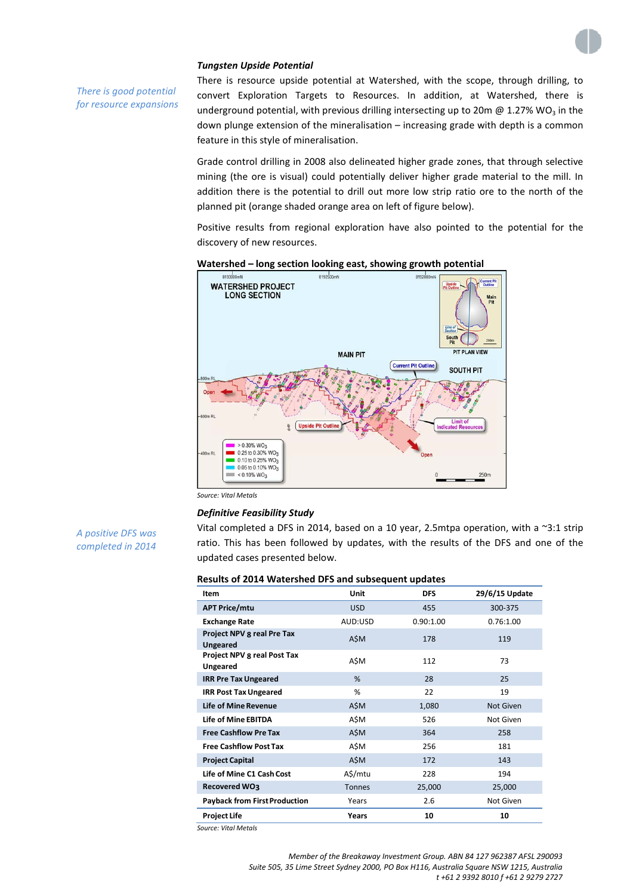

## *Tungsten Upside Potential*

*There is good potential for resource expansions*

*A positive DFS was completed in 2014*

There is resource upside potential at Watershed, with the scope, through drilling, to convert Exploration Targets to Resources. In addition, at Watershed, there is underground potential, with previous drilling intersecting up to 20m  $\omega$  1.27% WO<sub>3</sub> in the down plunge extension of the mineralisation – increasing grade with depth is a common feature in this style of mineralisation.

Grade control drilling in 2008 also delineated higher grade zones, that through selective mining (the ore is visual) could potentially deliver higher grade material to the mill. In addition there is the potential to drill out more low strip ratio ore to the north of the planned pit (orange shaded orange area on left of figure below).

Positive results from regional exploration have also pointed to the potential for the discovery of new resources.





*Source: Vital Metals*

## *Definitive Feasibility Study*

Vital completed a DFS in 2014, based on a 10 year, 2.5mtpa operation, with a ~3:1 strip ratio. This has been followed by updates, with the results of the DFS and one of the updated cases presented below.

| Results of 2014 Watershed DFS and subsequent updates |  |  |
|------------------------------------------------------|--|--|
|------------------------------------------------------|--|--|

| Item                                          | <b>Unit</b>   | <b>DFS</b> | 29/6/15 Update   |
|-----------------------------------------------|---------------|------------|------------------|
| <b>APT Price/mtu</b>                          | <b>USD</b>    | 455        | 300-375          |
| <b>Exchange Rate</b>                          | AUD:USD       | 0.90:1.00  | 0.76:1.00        |
| Project NPV 8 real Pre Tax<br><b>Ungeared</b> | A\$M          | 178        | 119              |
| Project NPV 8 real Post Tax<br>Ungeared       | A\$M          | 112        | 73               |
| <b>IRR Pre Tax Ungeared</b>                   | %             | 28         | 25               |
| <b>IRR Post Tax Ungeared</b>                  | %             | 22         | 19               |
| <b>Life of Mine Revenue</b>                   | A\$M          | 1,080      | <b>Not Given</b> |
| Life of Mine FBITDA                           | A\$M          | 526        | Not Given        |
| <b>Free Cashflow Pre Tax</b>                  | A\$M          | 364        | 258              |
| <b>Free Cashflow Post Tax</b>                 | A\$M          | 256        | 181              |
| <b>Project Capital</b>                        | A\$M          | 172        | 143              |
| Life of Mine C1 Cash Cost                     | A\$/mtu       | 228        | 194              |
| Recovered WO3                                 | <b>Tonnes</b> | 25,000     | 25,000           |
| <b>Payback from First Production</b>          | Years         | 2.6        | Not Given        |
| <b>Project Life</b>                           | Years         | 10         | 10               |

*Source: Vital Metals*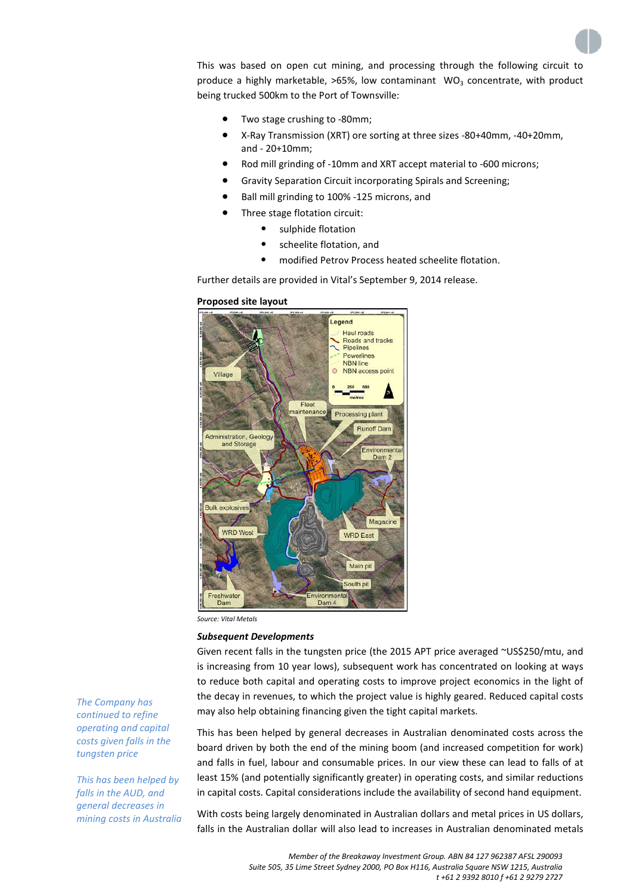This was based on open cut mining, and processing through the following circuit to produce a highly marketable,  $>65\%$ , low contaminant WO<sub>3</sub> concentrate, with product being trucked 500km to the Port of Townsville:

- Two stage crushing to -80mm;
- X-Ray Transmission (XRT) ore sorting at three sizes -80+40mm, -40+20mm, and - 20+10mm;
- Rod mill grinding of -10mm and XRT accept material to -600 microns;
- Gravity Separation Circuit incorporating Spirals and Screening;
- Ball mill grinding to 100% -125 microns, and
- Three stage flotation circuit:
	- sulphide flotation
	- scheelite flotation, and
	- modified Petrov Process heated scheelite flotation.

Further details are provided in Vital's September 9, 2014 release.

### **Proposed site layout**



*Source: Vital Metals*

#### *Subsequent Developments*

Given recent falls in the tungsten price (the 2015 APT price averaged ~US\$250/mtu, and is increasing from 10 year lows), subsequent work has concentrated on looking at ways to reduce both capital and operating costs to improve project economics in the light of the decay in revenues, to which the project value is highly geared. Reduced capital costs may also help obtaining financing given the tight capital markets.

This has been helped by general decreases in Australian denominated costs across the board driven by both the end of the mining boom (and increased competition for work) and falls in fuel, labour and consumable prices. In our view these can lead to falls of at least 15% (and potentially significantly greater) in operating costs, and similar reductions in capital costs. Capital considerations include the availability of second hand equipment.

With costs being largely denominated in Australian dollars and metal prices in US dollars, falls in the Australian dollar will also lead to increases in Australian denominated metals

*The Company has continued to refine operating and capital costs given falls in the tungsten price*

*This has been helped by falls in the AUD, and general decreases in mining costs in Australia*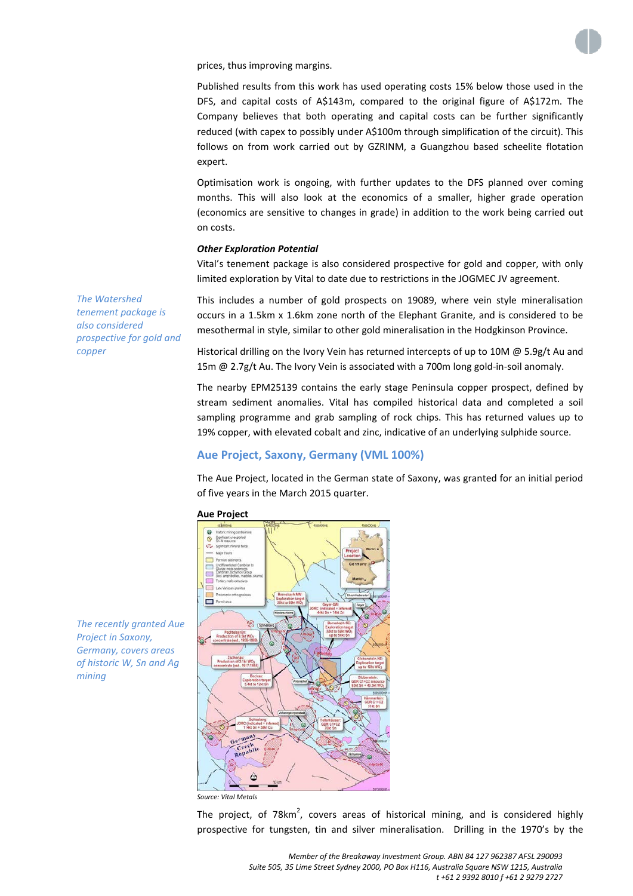

prices, thus improving margins.

Published results from this work has used operating costs 15% below those used in the DFS, and capital costs of A\$143m, compared to the original figure of A\$172m. The Company believes that both operating and capital costs can be further significantly reduced (with capex to possibly under A\$100m through simplification of the circuit). This follows on from work carried out by GZRINM, a Guangzhou based scheelite flotation expert.

Optimisation work is ongoing, with further updates to the DFS planned over coming months. This will also look at the economics of a smaller, higher grade operation (economics are sensitive to changes in grade) in addition to the work being carried out on costs.

## *Other Exploration Potential*

Vital's tenement package is also considered prospective for gold and copper, with only limited exploration by Vital to date due to restrictions in the JOGMEC JV agreement.

This includes a number of gold prospects on 19089, where vein style mineralisation occurs in a 1.5km x 1.6km zone north of the Elephant Granite, and is considered to be mesothermal in style, similar to other gold mineralisation in the Hodgkinson Province.

Historical drilling on the Ivory Vein has returned intercepts of up to 10M  $\omega$  5.9g/t Au and 15m @ 2.7g/t Au. The Ivory Vein is associated with a 700m long gold-in-soil anomaly.

The nearby EPM25139 contains the early stage Peninsula copper prospect, defined by stream sediment anomalies. Vital has compiled historical data and completed a soil sampling programme and grab sampling of rock chips. This has returned values up to 19% copper, with elevated cobalt and zinc, indicative of an underlying sulphide source.

## **Aue Project, Saxony, Germany (VML 100%)**

The Aue Project, located in the German state of Saxony, was granted for an initial period of five years in the March 2015 quarter.



*Source: Vital Metals*

The project, of 78 $km^2$ , covers areas of historical mining, and is considered highly prospective for tungsten, tin and silver mineralisation. Drilling in the 1970's by the

*The recently granted Aue Project in Saxony, Germany, covers areas of historic W, Sn and Ag mining*

*The Watershed tenement package is also considered* 

*copper*

*prospective for gold and*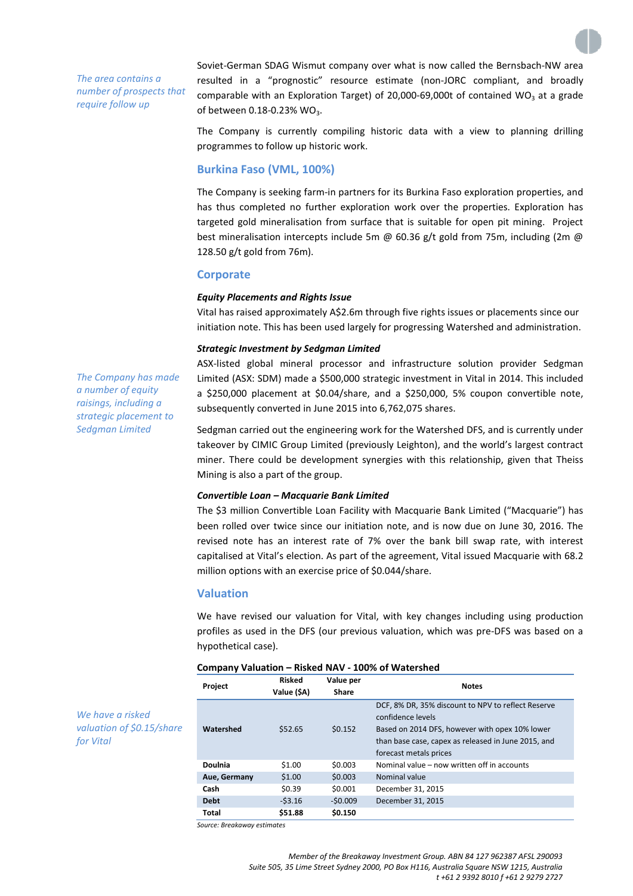*The area contains a number of prospects that require follow up*

Soviet-German SDAG Wismut company over what is now called the Bernsbach-NW area resulted in a "prognostic" resource estimate (non-JORC compliant, and broadly comparable with an Exploration Target) of 20,000-69,000t of contained WO<sub>3</sub> at a grade of between  $0.18 - 0.23$ % WO<sub>3</sub>.

The Company is currently compiling historic data with a view to planning drilling programmes to follow up historic work.

## **Burkina Faso (VML, 100%)**

The Company is seeking farm-in partners for its Burkina Faso exploration properties, and has thus completed no further exploration work over the properties. Exploration has targeted gold mineralisation from surface that is suitable for open pit mining. Project best mineralisation intercepts include 5m @ 60.36 g/t gold from 75m, including (2m @ 128.50 g/t gold from 76m).

## **Corporate**

## *Equity Placements and Rights Issue*

Vital has raised approximately A\$2.6m through five rights issues or placements since our initiation note. This has been used largely for progressing Watershed and administration.

## *Strategic Investment by Sedgman Limited*

*The Company has made a number of equity raisings, including a strategic placement to Sedgman Limited*

ASX-listed global mineral processor and infrastructure solution provider Sedgman Limited (ASX: SDM) made a \$500,000 strategic investment in Vital in 2014. This included a \$250,000 placement at \$0.04/share, and a \$250,000, 5% coupon convertible note, subsequently converted in June 2015 into 6,762,075 shares.

Sedgman carried out the engineering work for the Watershed DFS, and is currently under takeover by CIMIC Group Limited (previously Leighton), and the world's largest contract miner. There could be development synergies with this relationship, given that Theiss Mining is also a part of the group.

## *Convertible Loan – Macquarie Bank Limited*

The \$3 million Convertible Loan Facility with Macquarie Bank Limited ("Macquarie") has been rolled over twice since our initiation note, and is now due on June 30, 2016. The revised note has an interest rate of 7% over the bank bill swap rate, with interest capitalised at Vital's election. As part of the agreement, Vital issued Macquarie with 68.2 million options with an exercise price of \$0.044/share.

## **Valuation**

We have revised our valuation for Vital, with key changes including using production profiles as used in the DFS (our previous valuation, which was pre-DFS was based on a hypothetical case).

| Project                              | <b>Risked</b><br>Value (\$A) | Value per<br>Share | <b>Notes</b>                                                                                                                                                                                               |
|--------------------------------------|------------------------------|--------------------|------------------------------------------------------------------------------------------------------------------------------------------------------------------------------------------------------------|
| Watershed                            | \$52.65                      | \$0.152            | DCF, 8% DR, 35% discount to NPV to reflect Reserve<br>confidence levels<br>Based on 2014 DFS, however with opex 10% lower<br>than base case, capex as released in June 2015, and<br>forecast metals prices |
| Doulnia                              | \$1.00                       | \$0.003            | Nominal value – now written off in accounts                                                                                                                                                                |
| Aue, Germany                         | \$1.00                       | \$0.003            | Nominal value                                                                                                                                                                                              |
| Cash                                 | \$0.39                       | \$0.001            | December 31, 2015                                                                                                                                                                                          |
| <b>Debt</b>                          | $-53.16$                     | $-50.009$          | December 31, 2015                                                                                                                                                                                          |
| Total<br>Source: Breakaway estimates | \$51.88                      | \$0.150            |                                                                                                                                                                                                            |

## **Company Valuation – Risked NAV - 100% of Watershed**

*We have a risked valuation of \$0.15/share for Vital*

> *Member of the Breakaway Investment Group. ABN 84 127 962387 AFSL 290093 Suite 505, 35 Lime Street Sydney 2000, PO Box H116, Australia Square NSW 1215, Australia t +61 2 9392 8010 f +61 2 9279 2727*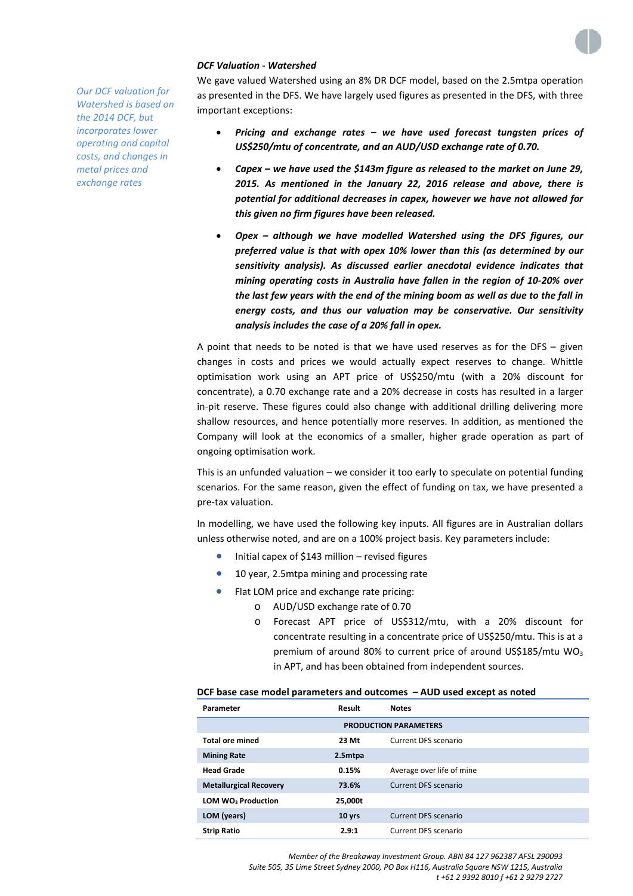

## *DCF Valuation - Watershed*

We gave valued Watershed using an 8% DR DCF model, based on the 2.5mtpa operation as presented in the DFS. We have largely used figures as presented in the DFS, with three important exceptions:

- *Pricing and exchange rates – we have used forecast tungsten prices of US\$250/mtu of concentrate, and an AUD/USD exchange rate of 0.70.*
- *Capex – we have used the \$143m figure as released to the market on June 29, 2015. As mentioned in the January 22, 2016 release and above, there is potential for additional decreases in capex, however we have not allowed for this given no firm figures have been released.*
- *Opex – although we have modelled Watershed using the DFS figures, our preferred value is that with opex 10% lower than this (as determined by our sensitivity analysis). As discussed earlier anecdotal evidence indicates that mining operating costs in Australia have fallen in the region of 10-20% over the last few years with the end of the mining boom as well as due to the fall in energy costs, and thus our valuation may be conservative. Our sensitivity analysis includes the case of a 20% fall in opex.*

A point that needs to be noted is that we have used reserves as for the DFS – given changes in costs and prices we would actually expect reserves to change. Whittle optimisation work using an APT price of US\$250/mtu (with a 20% discount for concentrate), a 0.70 exchange rate and a 20% decrease in costs has resulted in a larger in-pit reserve. These figures could also change with additional drilling delivering more shallow resources, and hence potentially more reserves. In addition, as mentioned the Company will look at the economics of a smaller, higher grade operation as part of ongoing optimisation work.

This is an unfunded valuation – we consider it too early to speculate on potential funding scenarios. For the same reason, given the effect of funding on tax, we have presented a pre-tax valuation.

In modelling, we have used the following key inputs. All figures are in Australian dollars unless otherwise noted, and are on a 100% project basis. Key parameters include:

- Initial capex of \$143 million revised figures
- 10 year, 2.5mtpa mining and processing rate
- Flat LOM price and exchange rate pricing:
	- o AUD/USD exchange rate of 0.70
	- o Forecast APT price of US\$312/mtu, with a 20% discount for concentrate resulting in a concentrate price of US\$250/mtu. This is at a premium of around 80% to current price of around US\$185/mtu  $WO<sub>3</sub>$ in APT, and has been obtained from independent sources.

## **DCF base case model parameters and outcomes – AUD used except as noted**

| Parameter                      | Result            | <b>Notes</b>              |  |
|--------------------------------|-------------------|---------------------------|--|
| <b>PRODUCTION PARAMETERS</b>   |                   |                           |  |
| <b>Total ore mined</b>         | 23 Mt             | Current DFS scenario      |  |
| <b>Mining Rate</b>             | 2.5mtpa           |                           |  |
| <b>Head Grade</b>              | 0.15%             | Average over life of mine |  |
| <b>Metallurgical Recovery</b>  | 73.6%             | Current DFS scenario      |  |
| LOM WO <sub>3</sub> Production | 25,000t           |                           |  |
| LOM (years)                    | 10 <sub>yrs</sub> | Current DFS scenario      |  |
| <b>Strip Ratio</b>             | 2.9:1             | Current DFS scenario      |  |

*Our DCF valuation for Watershed is based on the 2014 DCF, but incorporates lower operating and capital costs, and changes in metal prices and exchange rates*

> *Member of the Breakaway Investment Group. ABN 84 127 962387 AFSL 290093 Suite 505, 35 Lime Street Sydney 2000, PO Box H116, Australia Square NSW 1215, Australia t +61 2 9392 8010 f +61 2 9279 2727*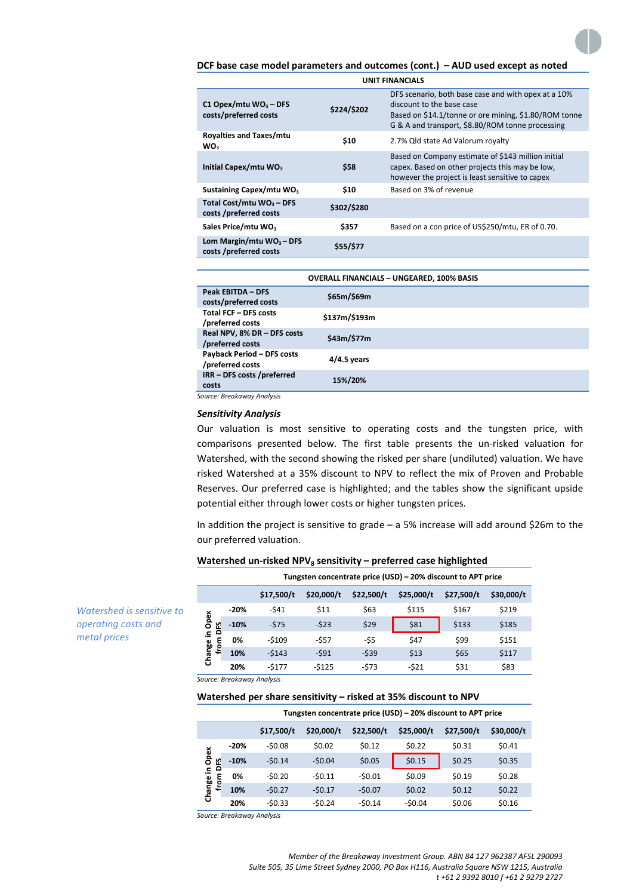## **DCF base case model parameters and outcomes (cont.) – AUD used except as noted**

| <b>UNIT FINANCIALS</b>                                |             |                                                                                                                                                                                               |  |
|-------------------------------------------------------|-------------|-----------------------------------------------------------------------------------------------------------------------------------------------------------------------------------------------|--|
| C1 Opex/mtu $WO_3 - DFS$<br>costs/preferred costs     | \$224/\$202 | DFS scenario, both base case and with opex at a 10%<br>discount to the base case<br>Based on \$14.1/tonne or ore mining, \$1.80/ROM tonne<br>G & A and transport, \$8.80/ROM tonne processing |  |
| <b>Royalties and Taxes/mtu</b><br>WO <sub>2</sub>     | \$10        | 2.7% Qld state Ad Valorum royalty                                                                                                                                                             |  |
| Initial Capex/mtu WO <sub>3</sub>                     | \$58        | Based on Company estimate of \$143 million initial<br>capex. Based on other projects this may be low,<br>however the project is least sensitive to capex                                      |  |
| Sustaining Capex/mtu WO <sub>3</sub>                  | \$10        | Based on 3% of revenue                                                                                                                                                                        |  |
| Total Cost/mtu $WO_3 - DFS$<br>costs /preferred costs | \$302/\$280 |                                                                                                                                                                                               |  |
| Sales Price/mtu WO <sub>3</sub>                       | \$357       | Based on a con price of US\$250/mtu, ER of 0.70.                                                                                                                                              |  |
| Lom Margin/mtu $WO_3 - DFS$<br>costs /preferred costs | \$55/\$77   |                                                                                                                                                                                               |  |

| <b>OVERALL FINANCIALS - UNGEARED, 100% BASIS</b>      |               |  |  |  |  |
|-------------------------------------------------------|---------------|--|--|--|--|
| <b>Peak EBITDA - DFS</b><br>costs/preferred costs     | \$65m/\$69m   |  |  |  |  |
| <b>Total FCF - DFS costs</b><br>/preferred costs      | \$137m/\$193m |  |  |  |  |
| Real NPV, 8% DR - DFS costs<br>/preferred costs       | \$43m/\$77m   |  |  |  |  |
| <b>Payback Period - DFS costs</b><br>/preferred costs | $4/4.5$ years |  |  |  |  |
| IRR - DFS costs /preferred<br>costs                   | 15%/20%       |  |  |  |  |

*Source: Breakaway Analysis*

#### *Sensitivity Analysis*

Our valuation is most sensitive to operating costs and the tungsten price, with comparisons presented below. The first table presents the un-risked valuation for Watershed, with the second showing the risked per share (undiluted) valuation. We have risked Watershed at a 35% discount to NPV to reflect the mix of Proven and Probable Reserves. Our preferred case is highlighted; and the tables show the significant upside potential either through lower costs or higher tungsten prices.

In addition the project is sensitive to grade – a 5% increase will add around \$26m to the our preferred valuation.

#### **Watershed un-risked NPV<sub>8</sub> sensitivity – preferred case highlighted**

|                                         |        | Tungsten concentrate price (USD) – 20% discount to APT price |            |            |            |            |            |  |  |
|-----------------------------------------|--------|--------------------------------------------------------------|------------|------------|------------|------------|------------|--|--|
|                                         |        | \$17,500/t                                                   | \$20,000/t | \$22,500/t | \$25,000/t | \$27,500/t | \$30,000/t |  |  |
| Opex<br>۲ū<br>Change in<br>۵<br>٤<br>មិ | $-20%$ | -\$41                                                        | \$11       | \$63       | \$115      | \$167      | \$219      |  |  |
|                                         | $-10%$ | $-575$                                                       | $-523$     | \$29       | \$81       | \$133      | \$185      |  |  |
|                                         | 0%     | $-5109$                                                      | $-557$     | -\$5       | \$47       | \$99       | \$151      |  |  |
|                                         | 10%    | $-5143$                                                      | $-591$     | $-539$     | \$13       | \$65       | \$117      |  |  |
|                                         | 20%    | $-5177$                                                      | $-5125$    | $-573$     | $-521$     | \$31       | \$83       |  |  |

*operating costs and metal prices*

*Watershed is sensitive to* 

*Source: Breakaway Analysis*

## **Watershed per share sensitivity – risked at 35% discount to NPV**

|                       |        | Tungsten concentrate price (USD) - 20% discount to APT price |            |            |            |            |            |  |
|-----------------------|--------|--------------------------------------------------------------|------------|------------|------------|------------|------------|--|
|                       |        | \$17,500/t                                                   | \$20,000/t | \$22,500/t | \$25,000/t | \$27,500/t | \$30,000/t |  |
|                       | $-20%$ | $-50.08$                                                     | \$0.02     | \$0.12     | \$0.22     | \$0.31     | \$0.41     |  |
| Change in Opex<br>DES | $-10%$ | $-50.14$                                                     | $-50.04$   | \$0.05     | \$0.15     | \$0.25     | \$0.35     |  |
| from                  | 0%     | $-50.20$                                                     | $-50.11$   | $-50.01$   | \$0.09     | \$0.19     | \$0.28     |  |
|                       | 10%    | $-50.27$                                                     | $-50.17$   | $-50.07$   | \$0.02     | \$0.12     | \$0.22     |  |
|                       | 20%    | $-50.33$                                                     | $-50.24$   | $-50.14$   | $-50.04$   | \$0.06     | \$0.16     |  |

*Source: Breakaway Analysis*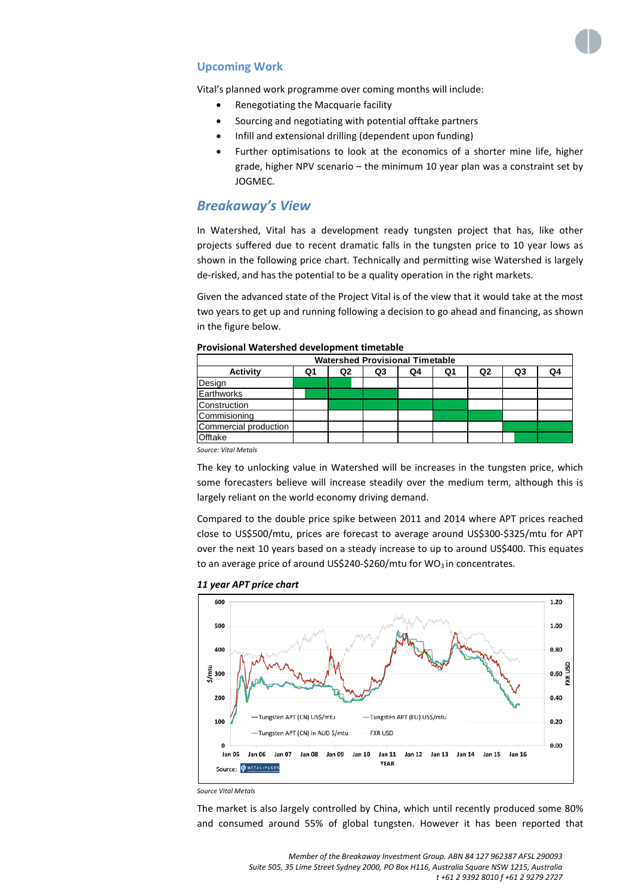

## **Upcoming Work**

Vital's planned work programme over coming months will include:

- Renegotiating the Macquarie facility
- Sourcing and negotiating with potential offtake partners
- Infill and extensional drilling (dependent upon funding)
- Further optimisations to look at the economics of a shorter mine life, higher grade, higher NPV scenario – the minimum 10 year plan was a constraint set by JOGMEC.

# *Breakaway's View*

In Watershed, Vital has a development ready tungsten project that has, like other projects suffered due to recent dramatic falls in the tungsten price to 10 year lows as shown in the following price chart. Technically and permitting wise Watershed is largely de-risked, and has the potential to be a quality operation in the right markets.

Given the advanced state of the Project Vital is of the view that it would take at the most two years to get up and running following a decision to go ahead and financing, as shown in the figure below.

| <b>Watershed Provisional Timetable</b> |                |    |    |    |                |    |    |  |
|----------------------------------------|----------------|----|----|----|----------------|----|----|--|
| Q1                                     | Q <sub>2</sub> | Q3 | Q4 | Q1 | Q <sub>2</sub> | Q3 | Q4 |  |
|                                        |                |    |    |    |                |    |    |  |
|                                        |                |    |    |    |                |    |    |  |
|                                        |                |    |    |    |                |    |    |  |
|                                        |                |    |    |    |                |    |    |  |
|                                        |                |    |    |    |                |    |    |  |
|                                        |                |    |    |    |                |    |    |  |
|                                        |                |    |    |    |                |    |    |  |

#### **Provisional Watershed development timetable**

*Source: Vital Metals*

The key to unlocking value in Watershed will be increases in the tungsten price, which some forecasters believe will increase steadily over the medium term, although this is largely reliant on the world economy driving demand.

Compared to the double price spike between 2011 and 2014 where APT prices reached close to US\$500/mtu, prices are forecast to average around US\$300-\$325/mtu for APT over the next 10 years based on a steady increase to up to around US\$400. This equates to an average price of around US\$240-\$260/mtu for  $WO<sub>3</sub>$  in concentrates.

#### 600 1.20 1.00 500 0.80 400 0.60<br>EXR USD  $\frac{1}{6}$  300 200  $0.40$ Tungsten APT (CN) US\$/mtu -Tungsten APT (EU) US\$/mtu 100  $0.20$ -Tungsten APT (CN) in AUD S/mtu **FXR USD**  $0.00$ O Jan 05 Jan 06 Jan 07 Jan 08 Jan 09 Jan 10 **Jan 11** Jan 12 Jan 13 Jan 14 Jan 15 Jan 16 **YEAR** Source: **COMETAL-PAGES**

#### *11 year APT price chart*

*Source Vital Metals*

The market is also largely controlled by China, which until recently produced some 80% and consumed around 55% of global tungsten. However it has been reported that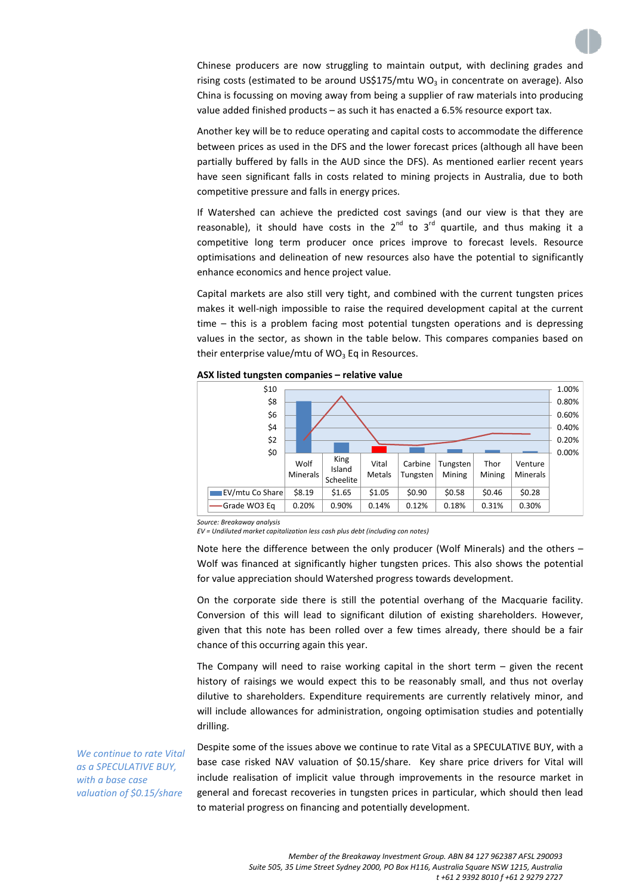Chinese producers are now struggling to maintain output, with declining grades and rising costs (estimated to be around US\$175/mtu WO<sub>3</sub> in concentrate on average). Also China is focussing on moving away from being a supplier of raw materials into producing value added finished products – as such it has enacted a 6.5% resource export tax.

Another key will be to reduce operating and capital costs to accommodate the difference between prices as used in the DFS and the lower forecast prices (although all have been partially buffered by falls in the AUD since the DFS). As mentioned earlier recent years have seen significant falls in costs related to mining projects in Australia, due to both competitive pressure and falls in energy prices.

If Watershed can achieve the predicted cost savings (and our view is that they are reasonable), it should have costs in the  $2^{nd}$  to  $3^{rd}$  quartile, and thus making it a competitive long term producer once prices improve to forecast levels. Resource optimisations and delineation of new resources also have the potential to significantly enhance economics and hence project value.

Capital markets are also still very tight, and combined with the current tungsten prices makes it well-nigh impossible to raise the required development capital at the current time – this is a problem facing most potential tungsten operations and is depressing values in the sector, as shown in the table below. This compares companies based on their enterprise value/mtu of  $WO_3$  Eq in Resources.



**ASX listed tungsten companies – relative value**

*Source: Breakaway analysis*

*EV = Undiluted market capitalization less cash plus debt (including con notes)*

Note here the difference between the only producer (Wolf Minerals) and the others – Wolf was financed at significantly higher tungsten prices. This also shows the potential for value appreciation should Watershed progress towards development.

On the corporate side there is still the potential overhang of the Macquarie facility. Conversion of this will lead to significant dilution of existing shareholders. However, given that this note has been rolled over a few times already, there should be a fair chance of this occurring again this year.

The Company will need to raise working capital in the short term  $-$  given the recent history of raisings we would expect this to be reasonably small, and thus not overlay dilutive to shareholders. Expenditure requirements are currently relatively minor, and will include allowances for administration, ongoing optimisation studies and potentially drilling.

Despite some of the issues above we continue to rate Vital as a SPECULATIVE BUY, with a base case risked NAV valuation of \$0.15/share. Key share price drivers for Vital will include realisation of implicit value through improvements in the resource market in general and forecast recoveries in tungsten prices in particular, which should then lead to material progress on financing and potentially development.

*We continue to rate Vital as a SPECULATIVE BUY, with a base case valuation of \$0.15/share*